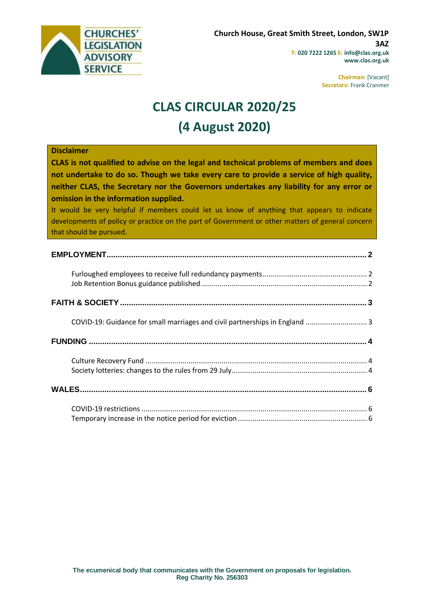

**Chairman:** [Vacant] **Secretary:** Frank Cranmer

# **CLAS CIRCULAR 2020/25 (4 August 2020)**

#### **Disclaimer**

**CLAS is not qualified to advise on the legal and technical problems of members and does not undertake to do so. Though we take every care to provide a service of high quality, neither CLAS, the Secretary nor the Governors undertakes any liability for any error or omission in the information supplied.**

It would be very helpful if members could let us know of anything that appears to indicate developments of policy or practice on the part of Government or other matters of general concern that should be pursued.

| COVID-19: Guidance for small marriages and civil partnerships in England  3 |  |
|-----------------------------------------------------------------------------|--|
|                                                                             |  |
|                                                                             |  |
|                                                                             |  |
|                                                                             |  |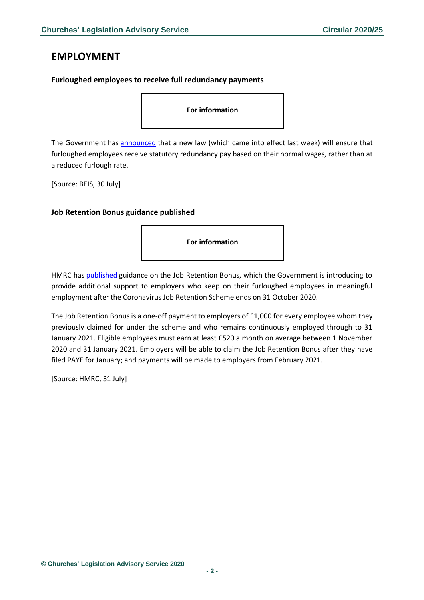# <span id="page-1-0"></span>**EMPLOYMENT**

#### <span id="page-1-1"></span>**Furloughed employees to receive full redundancy payments**

**For information**

The Government has [announced](https://www.gov.uk/government/news/new-law-to-ensure-furloughed-employees-receive-full-redundancy-payments?utm_source=e2d99c38-3011-42f0-a9c1-9189bc1eeed1&utm_medium=email&utm_campaign=govuk-notifications&utm_content=daily) that a new law (which came into effect last week) will ensure that furloughed employees receive statutory redundancy pay based on their normal wages, rather than at a reduced furlough rate.

[Source: BEIS, 30 July]

#### <span id="page-1-2"></span>**Job Retention Bonus guidance published**

**For information**

HMRC has [published](https://www.gov.uk/government/publications/job-retention-bonus/job-retention-bonus) guidance on the Job Retention Bonus, which the Government is introducing to provide additional support to employers who keep on their furloughed employees in meaningful employment after the Coronavirus Job Retention Scheme ends on 31 October 2020.

The Job Retention Bonus is a one-off payment to employers of £1,000 for every employee whom they previously claimed for under the scheme and who remains continuously employed through to 31 January 2021. Eligible employees must earn at least £520 a month on average between 1 November 2020 and 31 January 2021. Employers will be able to claim the Job Retention Bonus after they have filed PAYE for January; and payments will be made to employers from February 2021.

[Source: HMRC, 31 July]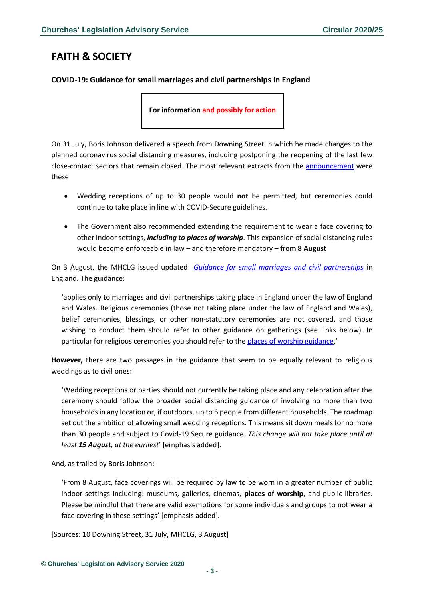# <span id="page-2-0"></span>**FAITH & SOCIETY**

### <span id="page-2-1"></span>**COVID-19: Guidance for small marriages and civil partnerships in England**

**For information and possibly for action**

On 31 July, Boris Johnson delivered a speech from Downing Street in which he made changes to the planned coronavirus social distancing measures, including postponing the reopening of the last few close-contact sectors that remain closed. The most relevant extracts from the [announcement](https://www.gov.uk/government/speeches/prime-ministers-statement-on-coronavirus-covid-19-31-july-2020) were these:

- Wedding receptions of up to 30 people would **not** be permitted, but ceremonies could continue to take place in line with COVID-Secure guidelines.
- The Government also recommended extending the requirement to wear a face covering to other indoor settings, *including to places of worship*. This expansion of social distancing rules would become enforceable in law – and therefore mandatory – **from 8 August**

On 3 August, the MHCLG issued updated *[Guidance for small marriages and civil partnerships](https://www.gov.uk/government/publications/covid-19-guidance-for-small-marriages-and-civil-partnerships/covid-19-guidance-for-small-marriages-and-civil-partnerships)* in England. The guidance:

'applies only to marriages and civil partnerships taking place in England under the law of England and Wales. Religious ceremonies (those not taking place under the law of England and Wales), belief ceremonies, blessings, or other non-statutory ceremonies are not covered, and those wishing to conduct them should refer to other guidance on gatherings (see links below). In particular for religious ceremonies you should refer to the [places of worship guidance.](https://www.gov.uk/government/publications/covid-19-guidance-for-the-safe-use-of-places-of-worship-during-the-pandemic-from-4-july)'

**However,** there are two passages in the guidance that seem to be equally relevant to religious weddings as to civil ones:

'Wedding receptions or parties should not currently be taking place and any celebration after the ceremony should follow the broader social distancing guidance of involving no more than two households in any location or, if outdoors, up to 6 people from different households. The roadmap set out the ambition of allowing small wedding receptions. This means sit down meals for no more than 30 people and subject to Covid-19 Secure guidance. *This change will not take place until at least 15 August, at the earliest*' [emphasis added].

And, as trailed by Boris Johnson:

'From 8 August, face coverings will be required by law to be worn in a greater number of public indoor settings including: museums, galleries, cinemas, **places of worship**, and public libraries. Please be mindful that there are valid exemptions for some individuals and groups to not wear a face covering in these settings' [emphasis added].

[Sources: 10 Downing Street, 31 July, MHCLG, 3 August]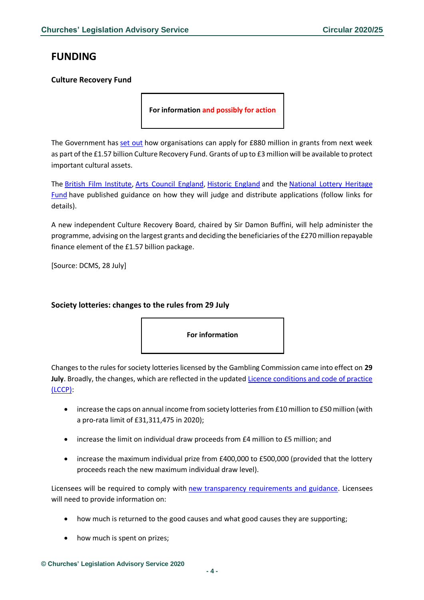# <span id="page-3-0"></span>**FUNDING**

### <span id="page-3-1"></span>**Culture Recovery Fund**

**For information and possibly for action**

The Government has [set out](https://www.gov.uk/government/news/dowden-jump-start-for-uks-leading-creative-industries) how organisations can apply for £880 million in grants from next week as part of the £1.57 billion Culture Recovery Fund. Grants of up to £3 million will be available to protect important cultural assets.

The [British Film Institute,](https://www.bfi.org.uk/news-opinion/news-bfi/announcements/culture-recovery-fund-guidelines) [Arts Council England,](https://www.artscouncil.org.uk/funding/CRFgrants#section-1) [Historic England](https://historicengland.org.uk/coronavirus/funding/recovery/) and the [National Lottery Heritage](https://www.heritagefund.org.uk/funding/culture-recovery-fund-for-heritage#:~:text=The%20Culture%20Recovery%20Fund%20for%20Heritage%20is%20part%20of%20the,economic%20impact%20of%20COVID%2D19.)  [Fund](https://www.heritagefund.org.uk/funding/culture-recovery-fund-for-heritage#:~:text=The%20Culture%20Recovery%20Fund%20for%20Heritage%20is%20part%20of%20the,economic%20impact%20of%20COVID%2D19.) have published guidance on how they will judge and distribute applications (follow links for details).

A new independent Culture Recovery Board, chaired by Sir Damon Buffini, will help administer the programme, advising on the largest grants and deciding the beneficiaries of the £270 million repayable finance element of the £1.57 billion package.

[Source: DCMS, 28 July]

#### <span id="page-3-2"></span>**Society lotteries: changes to the rules from 29 July**



Changes to the rules for society lotteries licensed by the Gambling Commission came into effect on **29 July**. Broadly, the changes, which are reflected in the updated [Licence conditions and code of practice](https://www.gamblingcommission.gov.uk/for-gambling-businesses/Compliance/LCCP/Licence-conditions-and-codes-of-practice.aspx?utm_source=Bates%20Wells%20Braithwaite&utm_medium=email&utm_campaign=11719681_Long%20anticipated%20changes%20to%20society%20lotteries%20come%20into%20effect&dm_i=1Y95,6Z6YP,EQ22GV,S3EKQ,1)  [\(LCCP\):](https://www.gamblingcommission.gov.uk/for-gambling-businesses/Compliance/LCCP/Licence-conditions-and-codes-of-practice.aspx?utm_source=Bates%20Wells%20Braithwaite&utm_medium=email&utm_campaign=11719681_Long%20anticipated%20changes%20to%20society%20lotteries%20come%20into%20effect&dm_i=1Y95,6Z6YP,EQ22GV,S3EKQ,1)

- increase the caps on annual income from society lotteries from £10 million to £50 million (with a pro-rata limit of £31,311,475 in 2020);
- increase the limit on individual draw proceeds from £4 million to £5 million; and
- increase the maximum individual prize from £400,000 to £500,000 (provided that the lottery proceeds reach the new maximum individual draw level).

Licensees will be required to comply with [new transparency requirements and guidance.](https://www.gamblingcommission.gov.uk/PDF/Society-lotteries-guidance-to-operators.pdf?utm_source=Bates%20Wells%20Braithwaite&utm_medium=email&utm_campaign=11719681_Long%20anticipated%20changes%20to%20society%20lotteries%20come%20into%20effect&dm_i=1Y95,6Z6YP,EQ22GV,S3EKQ,1) Licensees will need to provide information on:

- how much is returned to the good causes and what good causes they are supporting;
- how much is spent on prizes;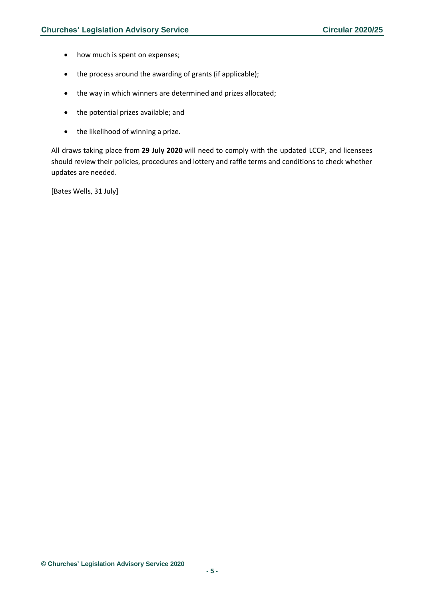- how much is spent on expenses;
- the process around the awarding of grants (if applicable);
- the way in which winners are determined and prizes allocated;
- the potential prizes available; and
- the likelihood of winning a prize.

All draws taking place from **29 July 2020** will need to comply with the updated LCCP, and licensees should review their policies, procedures and lottery and raffle terms and conditions to check whether updates are needed.

[Bates Wells, 31 July]